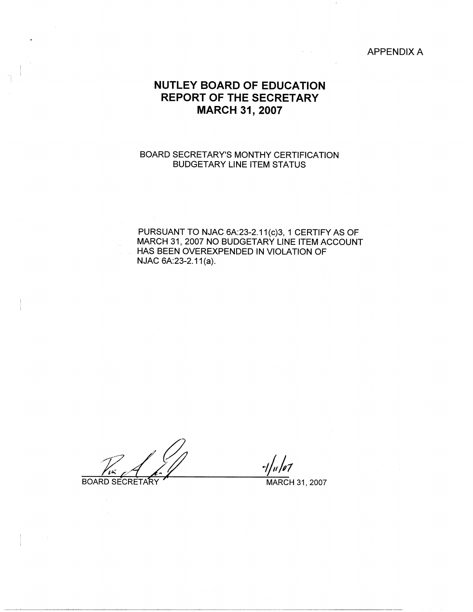# APPENDIX A

# **NUTLEY BOARD OF EDUCATION REPORT OF THE SECRETARY MARCH 31, 2007**

# BOARD SECRETARY'S MONTHY CERTIFICATION BUDGETARY LINE ITEM STATUS

PURSUANT TO NJAC 6A:23-2.11(c)3, 1 CERTIFY AS OF MARCH 31, 2007 NO BUDGETARY LINE ITEM ACCOUNT HAS BEEN OVEREXPENDED IN VIOLATION OF NJAC 6A:23-2.11(a).

. *J?a'* ~a . ::z BOARD SECRETARY TELL MARCH 31, 2007

 $-1/n/107$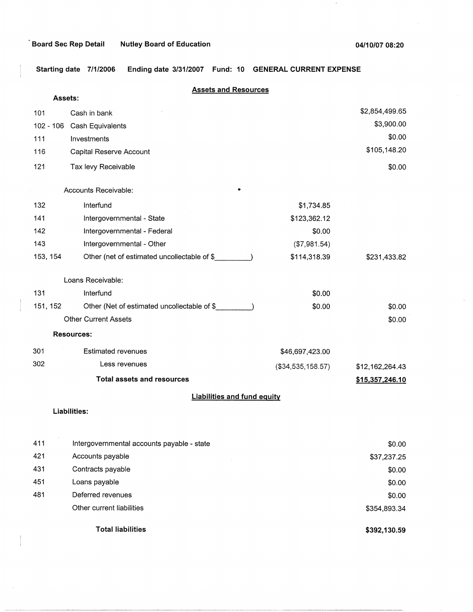$\pm$ 

**Starting date 7/1/2006 Ending date 3/31/2007 Fund: 10 GENERAL CURRENT EXPENSE** 

| <b>Assets:</b> | <b>Assets and Resources</b>                 |                   |                 |
|----------------|---------------------------------------------|-------------------|-----------------|
| 101            | Cash in bank                                |                   | \$2,854,499.65  |
| $102 - 106$    | Cash Equivalents                            |                   | \$3,900.00      |
| 111            | Investments                                 |                   | \$0.00          |
| 116            | Capital Reserve Account                     |                   | \$105,148.20    |
| 121            | Tax levy Receivable                         |                   | \$0.00          |
|                | Accounts Receivable:                        |                   |                 |
| 132            | Interfund                                   | \$1,734.85        |                 |
| 141            | Intergovernmental - State                   | \$123,362.12      |                 |
| 142            | Intergovernmental - Federal                 | \$0.00            |                 |
| 143            | Intergovernmental - Other                   | (\$7,981.54)      |                 |
| 153, 154       | Other (net of estimated uncollectable of \$ | \$114,318.39      | \$231,433.82    |
|                | Loans Receivable:                           |                   |                 |
| 131            | Interfund                                   | \$0.00            |                 |
| 151, 152       | Other (Net of estimated uncollectable of \$ | \$0.00            | \$0.00          |
|                | <b>Other Current Assets</b>                 |                   | \$0.00          |
|                | <b>Resources:</b>                           |                   |                 |
| 301            | <b>Estimated revenues</b>                   | \$46,697,423.00   |                 |
| 302            | Less revenues                               | (\$34,535,158.57) | \$12,162,264.43 |
|                | <b>Total assets and resources</b>           |                   | \$15,357,246.10 |
|                | <b>Liabilities and fund equity</b>          |                   |                 |
|                | <b>Liabilities:</b>                         |                   |                 |
| 411            | Intergovernmental accounts payable - state  |                   | \$0.00          |
| 421            | Accounts payable                            |                   | \$37,237.25     |
| 431            | Contracts payable                           |                   | \$0.00          |
| 451            | Loans payable                               |                   | \$0.00          |
| 481            | Deferred revenues                           |                   | \$0.00          |
|                | Other current liabilities                   |                   | \$354,893.34    |
|                | <b>Total liabilities</b>                    |                   | \$392,130.59    |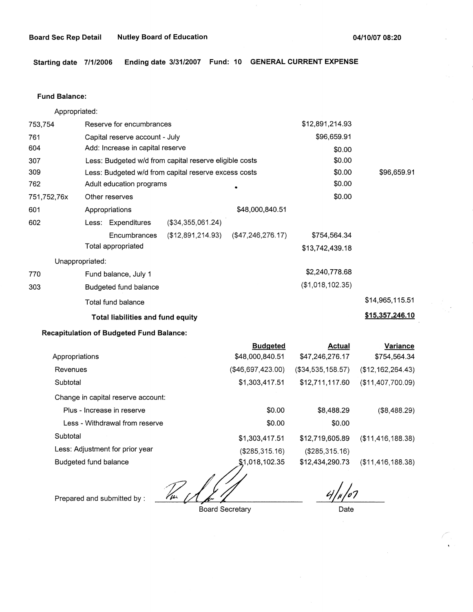**Starting date 7/1/2006 Ending date 3/31/2007 Fund: 10 GENERAL CURRENT EXPENSE** 

#### **Fund Balance:**

Appropriated:

| 753,754         | Reserve for encumbrances          |                                                        |                      | \$12,891,214.93  |                 |
|-----------------|-----------------------------------|--------------------------------------------------------|----------------------|------------------|-----------------|
| 761             | Capital reserve account - July    |                                                        |                      | \$96,659.91      |                 |
| 604             | Add: Increase in capital reserve  |                                                        |                      | \$0.00           |                 |
| 307             |                                   | Less: Budgeted w/d from capital reserve eligible costs |                      | \$0.00           |                 |
| 309             |                                   | Less: Budgeted w/d from capital reserve excess costs   |                      | \$0.00           | \$96,659.91     |
| 762             | Adult education programs          |                                                        |                      | \$0.00           |                 |
| 751,752,76x     | Other reserves                    |                                                        |                      | \$0.00           |                 |
| 601             | Appropriations                    |                                                        | \$48,000,840.51      |                  |                 |
| 602             | Less: Expenditures                | $($ \$34,355,061.24)                                   |                      |                  |                 |
|                 | Encumbrances                      | $(\$12,891,214.93)$                                    | $($ \$47,246,276.17) | \$754,564.34     |                 |
|                 | Total appropriated                |                                                        |                      | \$13,742,439.18  |                 |
| Unappropriated: |                                   |                                                        |                      |                  |                 |
| 770             | Fund balance, July 1              |                                                        |                      | \$2,240,778.68   |                 |
| 303             | Budgeted fund balance             |                                                        |                      | (\$1,018,102.35) |                 |
|                 | Total fund balance                |                                                        |                      |                  | \$14,965,115.51 |
|                 | Total liabilities and fund equity |                                                        |                      |                  | \$15,357,246.10 |

# **Recapitulation of Budgeted Fund Balance:**

|                                    | <b>Budgeted</b>   | <b>Actual</b>     | Variance             |
|------------------------------------|-------------------|-------------------|----------------------|
| Appropriations                     | \$48,000,840.51   | \$47,246,276.17   | \$754,564.34         |
| Revenues                           | (\$46,697,423.00) | (\$34,535,158.57) | (\$12,162,264.43)    |
| Subtotal                           | \$1,303,417.51    | \$12,711,117.60   | (\$11,407,700.09)    |
| Change in capital reserve account: |                   |                   |                      |
| Plus - Increase in reserve         | \$0.00            | \$8,488.29        | (\$8,488.29)         |
| Less - Withdrawal from reserve     | \$0.00            | \$0.00            |                      |
| Subtotal                           | \$1,303,417.51    | \$12,719,605.89   | $($ \$11,416,188.38) |
| Less: Adjustment for prior year    | (\$285,315.16)    | (\$285,315.16)    |                      |
| Budgeted fund balance              | \$1,018,102.35    | \$12,434,290.73   | (\$11,416,188.38)    |
|                                    |                   |                   |                      |

 $\mathbb{Z}$ 

Prepared and submitted by :

Board Secretary **Date** 

107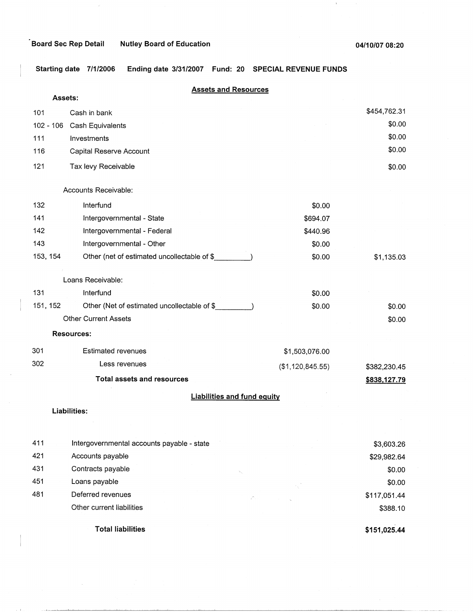مستطيعات

 $\tau \to \tau$ 

 $\lambda$ 

**Starting date 7/1/2006 Ending date 3/31/2007 Fund: 20 SPECIAL REVENUE FUNDS** 

| Assets:  | <b>Assets and Resources</b>                 |                  |              |
|----------|---------------------------------------------|------------------|--------------|
|          |                                             |                  | \$454,762.31 |
| 101      | Cash in bank                                |                  | \$0.00       |
|          | 102 - 106 Cash Equivalents                  |                  | \$0.00       |
| 111      | Investments                                 |                  | \$0.00       |
| 116      | Capital Reserve Account                     |                  |              |
| 121      | Tax levy Receivable                         |                  | \$0.00       |
|          | Accounts Receivable:                        |                  |              |
| 132      | Interfund                                   | \$0.00           |              |
| 141      | Intergovernmental - State                   | \$694.07         |              |
| 142      | Intergovernmental - Federal                 | \$440.96         |              |
| 143      | Intergovernmental - Other                   | \$0.00           |              |
| 153, 154 | Other (net of estimated uncollectable of \$ | \$0.00           | \$1,135.03   |
|          | Loans Receivable:                           |                  |              |
| 131      | Interfund                                   | \$0.00           |              |
| 151, 152 | Other (Net of estimated uncollectable of \$ | \$0.00           | \$0.00       |
|          | <b>Other Current Assets</b>                 |                  | \$0.00       |
|          | <b>Resources:</b>                           |                  |              |
| 301      | <b>Estimated revenues</b>                   | \$1,503,076.00   |              |
| 302      | Less revenues                               | (\$1,120,845.55) | \$382,230.45 |
|          | <b>Total assets and resources</b>           |                  | \$838,127.79 |
|          | <b>Liabilities and fund equity</b>          |                  |              |
|          | Liabilities:                                |                  |              |
|          |                                             |                  |              |
| 411      | Intergovernmental accounts payable - state  |                  | \$3,603.26   |
| 421      | Accounts payable                            |                  | \$29,982.64  |
| 431      | Contracts payable                           |                  | \$0.00       |
| 451      | Loans payable                               |                  | \$0.00       |
| 481      | Deferred revenues<br>уК,                    |                  | \$117,051.44 |
|          | Other current liabilities                   |                  | \$388.10     |
|          | <b>Total liabilities</b>                    |                  | \$151,025.44 |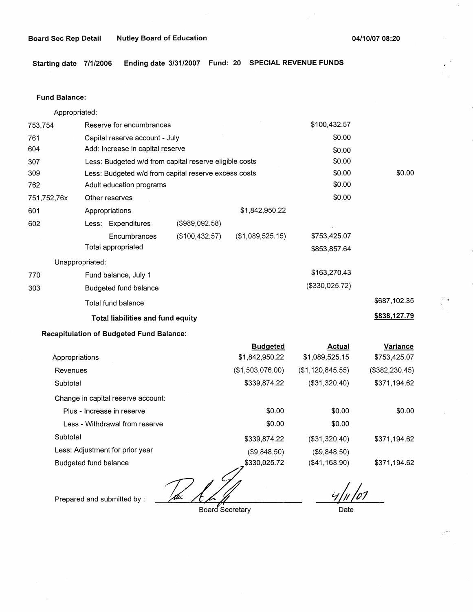**Starting date 7/1/2006 Ending date 3/31/2007 Fund: 20 SPECIAL REVENUE FUNDS** 

### **Fund Balance:**

Appropriated:

| 753,754         | Reserve for encumbrances                               |                   |                  | \$100,432.57   |              |
|-----------------|--------------------------------------------------------|-------------------|------------------|----------------|--------------|
| 761             | Capital reserve account - July                         |                   |                  | \$0.00         |              |
| 604             | Add: Increase in capital reserve                       |                   |                  | \$0.00         |              |
| 307             | Less: Budgeted w/d from capital reserve eligible costs |                   |                  | \$0.00         |              |
| 309             | Less: Budgeted w/d from capital reserve excess costs   |                   |                  | \$0.00         | \$0.00       |
| 762             | Adult education programs                               |                   |                  | \$0.00         |              |
| 751,752,76x     | Other reserves                                         |                   |                  | \$0.00         |              |
| 601             | Appropriations                                         |                   | \$1,842,950.22   |                |              |
| 602             | Less: Expenditures                                     | $($ \$989,092.58) |                  |                |              |
|                 | Encumbrances                                           | (\$100,432.57)    | (\$1,089,525.15) | \$753,425.07   |              |
|                 | Total appropriated                                     |                   |                  | \$853,857.64   |              |
| Unappropriated: |                                                        |                   |                  |                |              |
| 770             | Fund balance, July 1                                   |                   |                  | \$163,270.43   |              |
| 303             | Budgeted fund balance                                  |                   |                  | (\$330,025.72) |              |
|                 | Total fund balance                                     |                   |                  |                | \$687,102.35 |
|                 | <b>Total liabilities and fund equity</b>               |                   |                  |                | \$838,127.79 |

# **Recapitulation of Budgeted Fund Balance:**

|                                    | <b>Budgeted</b>  | Actual           | Variance       |
|------------------------------------|------------------|------------------|----------------|
| Appropriations                     | \$1,842,950.22   | \$1,089,525.15   | \$753,425.07   |
| Revenues                           | (\$1,503,076.00) | (\$1,120,845.55) | (\$382,230.45) |
| Subtotal                           | \$339,874.22     | (\$31,320.40)    | \$371,194.62   |
| Change in capital reserve account: |                  |                  |                |
| Plus - Increase in reserve         | \$0.00           | \$0.00           | \$0.00         |
| Less - Withdrawal from reserve     | \$0.00           | \$0.00           |                |
| Subtotal                           | \$339,874.22     | (\$31,320.40)    | \$371,194.62   |
| Less: Adjustment for prior year    | (\$9,848.50)     | (\$9,848.50)     |                |
| Budgeted fund balance              | \$330,025.72     | (\$41,168.90)    | \$371,194.62   |
|                                    |                  |                  |                |

Prepared and submitted by :

Board Secretary

 $4/1/07$ 

Date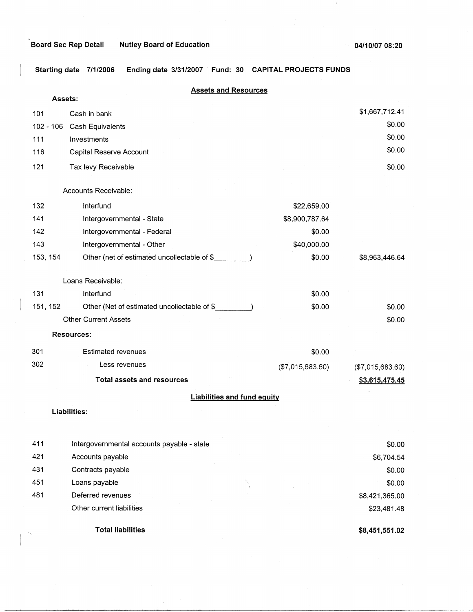# **Board Sec Rep Detail And Nutley Board of Education**

 $\cdot$ 

 $\mathbf{u}$ 

**Starting date 7/1/2006 Ending date 3/31/2007 Fund: 30 CAPITAL PROJECTS FUNDS** 

| Assets:     | <b>Assets and Resources</b>                 |                                    |                  |
|-------------|---------------------------------------------|------------------------------------|------------------|
|             |                                             |                                    | \$1,667,712.41   |
| 101         | Cash in bank                                |                                    | \$0.00           |
| $102 - 106$ | Cash Equivalents                            |                                    | \$0.00           |
| 111         | Investments                                 |                                    | \$0.00           |
| 116         | Capital Reserve Account                     |                                    |                  |
| 121         | Tax levy Receivable                         |                                    | \$0.00           |
|             |                                             |                                    |                  |
|             | Accounts Receivable:                        |                                    |                  |
| 132         | Interfund                                   | \$22,659.00                        |                  |
| 141         | Intergovernmental - State                   | \$8,900,787.64                     |                  |
| 142         | Intergovernmental - Federal                 | \$0.00                             |                  |
| 143         | Intergovernmental - Other                   | \$40,000.00                        |                  |
| 153, 154    | Other (net of estimated uncollectable of \$ | \$0.00                             | \$8,963,446.64   |
|             | Loans Receivable:                           |                                    |                  |
| 131         | Interfund                                   | \$0.00                             |                  |
| 151, 152    | Other (Net of estimated uncollectable of \$ | \$0.00                             | \$0.00           |
|             | <b>Other Current Assets</b>                 |                                    | \$0.00           |
|             | <b>Resources:</b>                           |                                    |                  |
| 301         | <b>Estimated revenues</b>                   | \$0.00                             |                  |
| 302         | Less revenues                               | (\$7,015,683.60)                   | (\$7,015,683.60) |
|             | <b>Total assets and resources</b>           |                                    | \$3,615,475.45   |
|             |                                             | <b>Liabilities and fund equity</b> |                  |
|             | Liabilities:                                |                                    |                  |
|             |                                             |                                    |                  |
| 411         | Intergovernmental accounts payable - state  |                                    | \$0.00           |
| 421         | Accounts payable                            |                                    | \$6,704.54       |
| 431         | Contracts payable                           |                                    | \$0.00           |
| 451         | Loans payable                               |                                    | \$0.00           |
| 481         | Deferred revenues                           |                                    | \$8,421,365.00   |
|             | Other current liabilities                   |                                    | \$23,481.48      |

**Total liabilities** 

I

'

**\$8,451,551.02**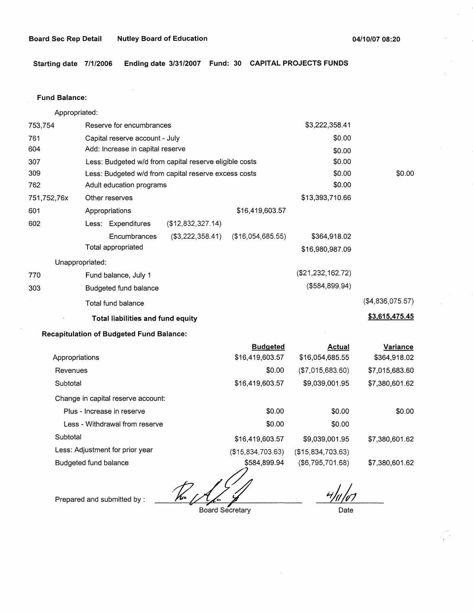**Starting date 7/1/2006 Ending date 3/31/2007 Fund: 30 CAPITAL PROJECTS FUNDS** 

#### **Fund Balance:**

Appropriated: 753,754 Reserve for encumbrances Capital reserve account - July Add: Increase in capital reserve 761 604 307 309 762 751,752,76x 601 Less: Budgeted w/d from capital reserve eligible costs Less: Budgeted w/d from capital reserve excess costs Adult education programs Other reserves Appropriations \$16,419,603.57 602 (\$12,832,327.14) Less: Expenditures 770 303 **Encumbrances** Total appropriated Unappropriated: Fund balance, July 1 Budgeted fund balance Total fund balance (\$3,222,358.41) (\$16,054,685.55) **Total liabilities and fund equity Recapitulation of Budgeted Fund Balance:**  \$3,222,358.41 \$0.00 \$0.00 \$0.00 \$0.00 \$0.00 \$13,393,710.66 \$364,918.02 \$16,980,987.09 (\$21,232,162.72) (\$584,899.94) \$0.00 (\$4,836,075.57) **\$3,615,475.45** 

|                                    | <b>Budgeted</b>   | <b>Actual</b>     | Variance       |
|------------------------------------|-------------------|-------------------|----------------|
| Appropriations                     | \$16,419,603.57   | \$16,054,685.55   | \$364,918.02   |
| Revenues                           | \$0.00            | (\$7,015,683.60)  | \$7,015,683.60 |
| Subtotal                           | \$16,419,603.57   | \$9,039,001.95    | \$7,380,601.62 |
| Change in capital reserve account: |                   |                   |                |
| Plus - Increase in reserve         | \$0.00            | \$0.00            | \$0.00         |
| Less - Withdrawal from reserve     | \$0.00            | \$0.00            |                |
| Subtotal                           | \$16,419,603.57   | \$9,039,001.95    | \$7,380,601.62 |
| Less: Adjustment for prior year    | (\$15,834,703.63) | (\$15,834,703.63) |                |
| Budgeted fund balance              | \$584,899.94      | (\$6,795,701.68)  | \$7,380,601.62 |

%%4,899.9

Board Secretary

 $4/4/67$ 

Date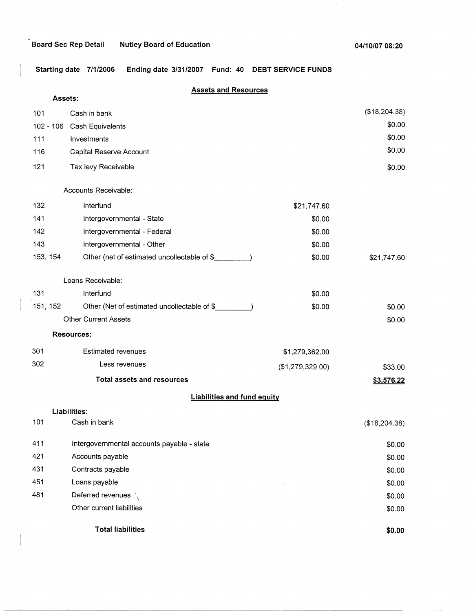$\left\vert 1\right\rangle$ 

**Starting date 7/1/2006 Ending date 3/31/2007 Fund: 40 DEBT SERVICE FUNDS** 

## **Assets and Resources**

| Assets:  |                                             |                  |               |
|----------|---------------------------------------------|------------------|---------------|
| 101      | Cash in bank                                |                  | (\$18,204.38) |
|          | 102 - 106 Cash Equivalents                  |                  | \$0.00        |
| 111      | Investments                                 |                  | \$0.00        |
| 116      | Capital Reserve Account                     |                  | \$0.00        |
| 121      | Tax levy Receivable                         |                  | \$0.00        |
|          | Accounts Receivable:                        |                  |               |
| 132      | Interfund                                   | \$21,747.60      |               |
| 141      | Intergovernmental - State                   | \$0.00           |               |
| 142      | Intergovernmental - Federal                 | \$0.00           |               |
| 143      | Intergovernmental - Other                   | \$0.00           |               |
| 153, 154 | Other (net of estimated uncollectable of \$ | \$0.00           | \$21,747.60   |
|          | Loans Receivable:                           |                  |               |
| 131      | Interfund                                   | \$0.00           |               |
| 151, 152 | Other (Net of estimated uncollectable of \$ | \$0.00           | \$0.00        |
|          | <b>Other Current Assets</b>                 |                  | \$0.00        |
|          | <b>Resources:</b>                           |                  |               |
| 301      | <b>Estimated revenues</b>                   | \$1,279,362.00   |               |
| 302      | Less revenues                               | (\$1,279,329.00) | \$33.00       |
|          | <b>Total assets and resources</b>           |                  | \$3,576.22    |
|          | <b>Liabilities and fund equity</b>          |                  |               |
|          | Liabilities:                                |                  |               |
| 101      | Cash in bank                                |                  | (\$18,204.38) |
| 411      | Intergovernmental accounts payable - state  |                  | \$0.00        |
| 421      | Accounts payable                            |                  | \$0.00        |
| 431      | Contracts payable                           |                  | \$0.00        |
| 451      | Loans payable                               |                  | \$0.00        |
| 481      | Deferred revenues                           |                  | \$0.00        |
|          | Other current liabilities                   |                  | \$0.00        |
|          | <b>Total liabilities</b>                    |                  | \$0.00        |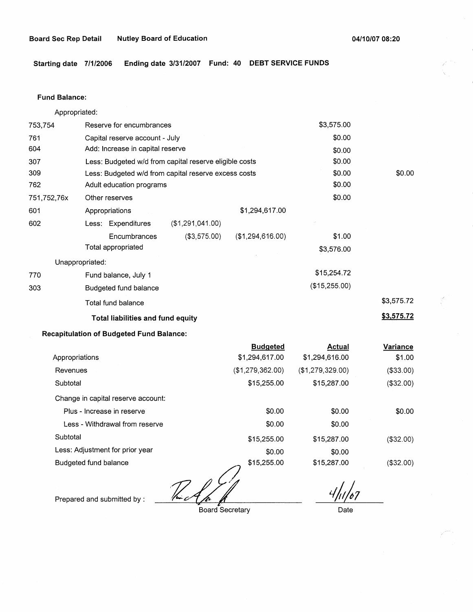**Starting date 7/1/2006 Ending date 3/31/2007 Fund: 40 DEBT SERVICE FUNDS** 

### **Fund Balance:**

Appropriated:

| 753,754         | Reserve for encumbrances                               |                  | \$3,575.00    |            |
|-----------------|--------------------------------------------------------|------------------|---------------|------------|
| 761             | Capital reserve account - July                         |                  | \$0.00        |            |
| 604             | Add: Increase in capital reserve                       |                  | \$0.00        |            |
| 307             | Less: Budgeted w/d from capital reserve eligible costs |                  | \$0.00        |            |
| 309             | Less: Budgeted w/d from capital reserve excess costs   |                  | \$0.00        | \$0.00     |
| 762             | Adult education programs                               |                  | \$0.00        |            |
| 751,752,76x     | Other reserves                                         |                  | \$0.00        |            |
| 601             | Appropriations                                         | \$1,294,617.00   |               |            |
| 602             | Less: Expenditures<br>(\$1,291,041.00)                 |                  |               |            |
|                 | (\$3,575.00)<br>Encumbrances                           | (\$1,294,616.00) | \$1.00        |            |
|                 | Total appropriated                                     |                  | \$3,576.00    |            |
| Unappropriated: |                                                        |                  |               |            |
| 770             | Fund balance, July 1                                   |                  | \$15,254.72   |            |
| 303             | Budgeted fund balance                                  |                  | (\$15,255.00) |            |
|                 | Total fund balance                                     |                  |               | \$3,575.72 |
|                 | <b>Total liabilities and fund equity</b>               |                  |               | \$3,575.72 |

# **Recapitulation of Budgeted Fund Balance:**

|                                    | <b>Budgeted</b>  | <b>Actual</b>    | Variance  |
|------------------------------------|------------------|------------------|-----------|
| Appropriations                     | \$1,294,617.00   | \$1,294,616.00   | \$1.00    |
| Revenues                           | (\$1,279,362.00) | (\$1,279,329.00) | (\$33.00) |
| Subtotal                           | \$15,255.00      | \$15,287.00      | (\$32.00) |
| Change in capital reserve account: |                  |                  |           |
| Plus - Increase in reserve         | \$0.00           | \$0.00           | \$0.00    |
| Less - Withdrawal from reserve     | \$0.00           | \$0.00           |           |
| Subtotal                           | \$15,255.00      | \$15,287.00      | (\$32.00) |
| Less: Adjustment for prior year    | \$0.00           | \$0.00           |           |
| Budgeted fund balance              | \$15,255.00      | \$15,287.00      | (\$32.00) |
|                                    |                  |                  |           |

Budgeted fund balance \$15,255.00<br>Prepared and submitted by : <u>The compared and submitted</u> by : **the compared Secretary** 

Board Secretary

*1/rJ1* 

Date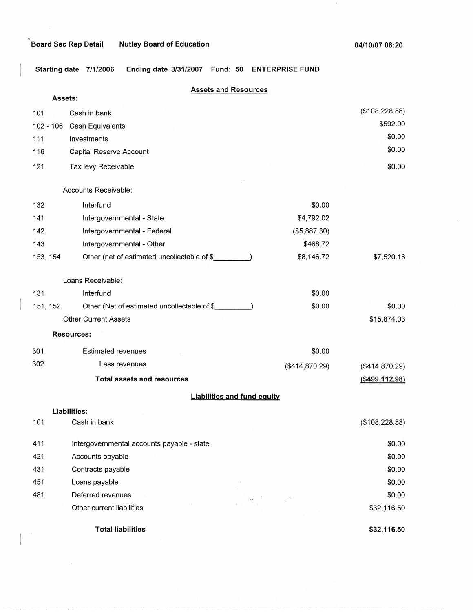$\mathcal{A}^{\prime}$ 

**Starting date 7/1/2006 Ending date 3/31/2007 Fund: 50 ENTERPRISE FUND** 

|          | <b>Assets and Resources</b>                           |                  |                  |
|----------|-------------------------------------------------------|------------------|------------------|
|          | Assets:                                               |                  |                  |
| 101      | Cash in bank                                          |                  | (\$108,228.88)   |
|          | 102 - 106 Cash Equivalents                            |                  | \$592.00         |
| 111      | Investments                                           |                  | \$0.00           |
| 116      | Capital Reserve Account                               |                  | \$0.00           |
| 121      | Tax levy Receivable                                   |                  | \$0.00           |
|          | Accounts Receivable:                                  |                  |                  |
| 132      | Interfund                                             | \$0.00           |                  |
| 141      | Intergovernmental - State                             | \$4,792.02       |                  |
| 142      | Intergovernmental - Federal                           | (\$5,887.30)     |                  |
| 143      | Intergovernmental - Other                             | \$468.72         |                  |
| 153, 154 | Other (net of estimated uncollectable of \$           | \$8,146.72       | \$7,520.16       |
|          | Loans Receivable:                                     |                  |                  |
| 131      | Interfund                                             | \$0.00           |                  |
| 151, 152 | Other (Net of estimated uncollectable of \$_________) | \$0.00           | \$0.00           |
|          | <b>Other Current Assets</b>                           |                  | \$15,874.03      |
|          | <b>Resources:</b>                                     |                  |                  |
| 301      | <b>Estimated revenues</b>                             | \$0.00           |                  |
| 302      | Less revenues                                         | ( \$414, 870.29) | (\$414,870.29)   |
|          | <b>Total assets and resources</b>                     |                  | ( \$499, 112.98) |
|          | <b>Liabilities and fund equity</b>                    |                  |                  |
|          | <b>Liabilities:</b>                                   |                  |                  |
| 101      | Cash in bank                                          |                  | (\$108,228.88)   |
| 411      | Intergovernmental accounts payable - state            |                  | \$0.00           |
| 421      | Accounts payable                                      |                  | \$0.00           |
| 431      | Contracts payable                                     |                  | \$0.00           |
| 451      | Loans payable                                         |                  | \$0.00           |
| 481      | Deferred revenues                                     |                  | \$0.00           |
|          | Other current liabilities                             |                  | \$32,116.50      |
|          | <b>Total liabilities</b>                              |                  | \$32,116.50      |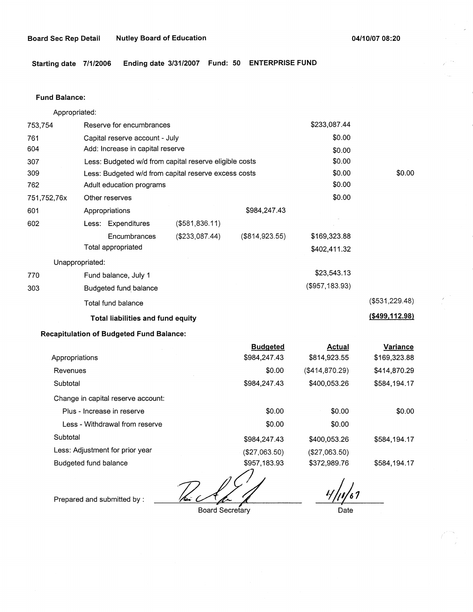**Starting date 7/1/2006 Ending date 3/31/2007 Fund: 50 ENTERPRISE FUND** 

#### **Fund Balance:**

753,754 761 604 Appropriated: Reserve for encumbrances Capital reserve account - July Add: Increase in capital reserve 307 309 762 751,752,76x 601 Less: Budgeted w/d from capital reserve eligible costs Less: Budgeted w/d from capital reserve excess costs Adult education programs 602 770 303 Other reserves Appropriations Less: Expenditures **Encumbrances** Total appropriated Unappropriated: Fund balance, July 1 Budgeted fund\_ balance Total fund balance (\$581,836.11) (\$233,087.44) \$984,247.43 (\$814,923.55) **Total liabilities and fund equity Recapitulation of Budgeted Fund Balance:**  \$233,087.44 \$0.00 \$0.00 \$0.00 \$0.00 \$0.00 \$0.00 \$169,323.88 \$402,411.32 \$23,543.13 (\$957,183.93) \$0.00 (\$531,229.48) **(\$499,112.98)** 

|                                    | <b>Budgeted</b>   | <b>Actual</b>  | <b>Variance</b> |
|------------------------------------|-------------------|----------------|-----------------|
| Appropriations                     | \$984,247.43      | \$814,923.55   | \$169,323.88    |
| Revenues                           | \$0.00            | (\$414,870.29) | \$414,870.29    |
| Subtotal                           | \$984,247.43      | \$400,053.26   | \$584,194.17    |
| Change in capital reserve account: |                   |                |                 |
| Plus - Increase in reserve         | \$0.00            | \$0.00         | \$0.00          |
| Less - Withdrawal from reserve     | \$0.00            | \$0.00         |                 |
| Subtotal                           | \$984,247.43      | \$400,053.26   | \$584,194.17    |
| Less: Adjustment for prior year    | (\$27,063.50)     | (\$27,063.50)  |                 |
| Budgeted fund balance              | \$957,183.93<br>ᄼ | \$372,989.76   | \$584,194.17    |

*72d,/k* 

Board Secretary

*,;/,J,1*  **∶-∕**<br>Date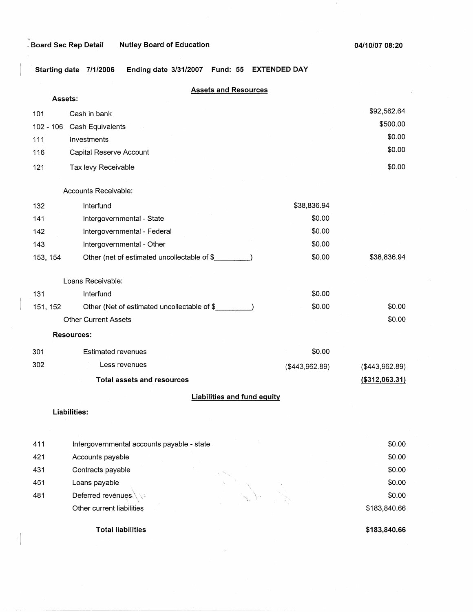**04/10/07 08:20** 

 $\pm$ 

**Starting date 7/1/2006 Ending date 3/31/2007 Fund: 55 EXTENDED DAY** 

| <b>Assets and Resources</b> |                                             |                |                 |
|-----------------------------|---------------------------------------------|----------------|-----------------|
| Assets:                     |                                             |                |                 |
| 101                         | Cash in bank                                |                | \$92,562.64     |
| 102 - 106                   | Cash Equivalents                            |                | \$500.00        |
| 111                         | Investments                                 |                | \$0.00          |
| 116                         | Capital Reserve Account                     |                | \$0.00          |
| 121                         | Tax levy Receivable                         |                | \$0.00          |
|                             | Accounts Receivable:                        |                |                 |
| 132                         | Interfund                                   | \$38,836.94    |                 |
| 141                         | Intergovernmental - State                   | \$0.00         |                 |
| 142                         | Intergovernmental - Federal                 | \$0.00         |                 |
| 143                         | Intergovernmental - Other                   | \$0.00         |                 |
| 153, 154                    | Other (net of estimated uncollectable of \$ | \$0.00         | \$38,836.94     |
|                             | Loans Receivable:                           |                |                 |
| 131                         | Interfund                                   | \$0.00         |                 |
| 151, 152                    | Other (Net of estimated uncollectable of \$ | \$0.00         | \$0.00          |
|                             | <b>Other Current Assets</b>                 |                | \$0.00          |
|                             | <b>Resources:</b>                           |                |                 |
| 301                         | <b>Estimated revenues</b>                   | \$0.00         |                 |
| 302                         | Less revenues                               | (\$443,962.89) | (\$443,962.89)  |
|                             | <b>Total assets and resources</b>           |                | ( \$312,063.31) |
|                             | <b>Liabilities and fund equity</b>          |                |                 |

## **Liabilities:**

I

| 411 | Intergovernmental accounts payable - state |    | \$0.00       |
|-----|--------------------------------------------|----|--------------|
| 421 | Accounts payable                           |    | \$0.00       |
| 431 | Contracts payable                          |    | \$0.00       |
| 451 | Loans payable                              | A. | \$0.00       |
| 481 | Deferred revenues                          |    | \$0.00       |
|     | Other current liabilities                  |    | \$183,840.66 |
|     |                                            |    |              |

**Total liabilities** 

**\$183,840.66**